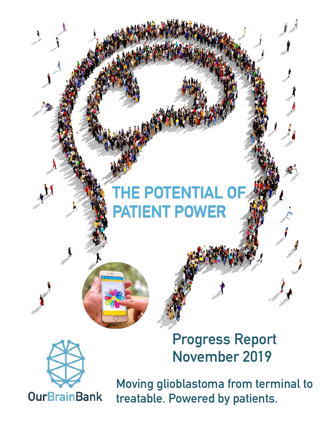# **THE POTENTIAL OF PATIENT POWER**



**Progress Report November 2019**

**Moving glioblastoma from terminal to treatable. Powered by patients.**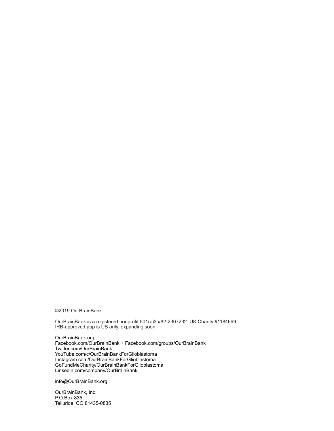©2019 OurBrainBank

OurBrainBank is a registered nonprofit 501(c)3 #82-2307232. UK Charity #1184699 IRB-approved app is US only, expanding soon

[OurBrainBank.org](http://OurBrainBank.org) Facebook.com/OurBrainBank + Facebook.com/groups/OurBrainBank Twitter.com/OurBrainBank YouTube.com/c/OurBrainBankForGlioblastoma Instagram.com/OurBrainBankForGlioblastoma GoFundMeCharity/OurBrainBankForGlioblastoma Linkedin.com/company/OurBrainBank

info@OurBrainBank.org

OurBrainBank, Inc. P.O.Box 835 Telluride, CO 81435-0835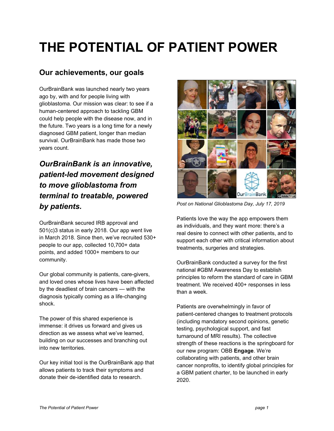## **THE POTENTIAL OF PATIENT POWER**

## **Our achievements, our goals**

OurBrainBank was launched nearly two years ago by, with and for people living with glioblastoma. Our mission was clear: to see if a human-centered approach to tackling GBM could help people with the disease now, and in the future. Two years is a long time for a newly diagnosed GBM patient, longer than median survival. OurBrainBank has made those two years count.

## *OurBrainBank is an innovative, patient-led movement designed to move glioblastoma from terminal to treatable, powered by patients.*

OurBrainBank secured IRB approval and 501(c)3 status in early 2018. Our app went live in March 2018. Since then, we've recruited 530+ people to our app, collected 10,700+ data points, and added 1000+ members to our community.

Our global community is patients, care-givers, and loved ones whose lives have been affected by the deadliest of brain cancers — with the diagnosis typically coming as a life-changing shock.

The power of this shared experience is immense: it drives us forward and gives us direction as we assess what we've learned, building on our successes and branching out into new territories.

Our key initial tool is the OurBrainBank app that allows patients to track their symptoms and donate their de-identified data to research.



*Post on National Glioblastoma Day, July 17, 2019*

Patients love the way the app empowers them as individuals, and they want more: there's a real desire to connect with other patients, and to support each other with critical information about treatments, surgeries and strategies.

OurBrainBank conducted a survey for the first national #GBM Awareness Day to establish principles to reform the standard of care in GBM treatment. We received 400+ responses in less than a week.

Patients are overwhelmingly in favor of patient-centered changes to treatment protocols (including mandatory second opinions, genetic testing, psychological support, and fast turnaround of MRI results). The collective strength of these reactions is the springboard for our new program: OBB **Engage**. We're collaborating with patients, and other brain cancer nonprofits, to identify global principles for a GBM patient charter, to be launched in early 2020.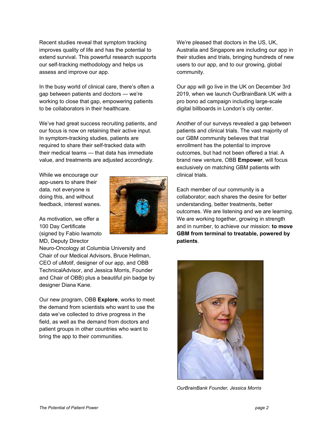Recent studies reveal that symptom tracking improves quality of life and has the potential to extend survival. This powerful research supports our self-tracking methodology and helps us assess and improve our app.

In the busy world of clinical care, there's often a gap between patients and doctors — we're working to close that gap, empowering patients to be collaborators in their healthcare.

We've had great success recruiting patients, and our focus is now on retaining their active input. In symptom-tracking studies, patients are required to share their self-tracked data with their medical teams — that data has immediate value, and treatments are adjusted accordingly.

While we encourage our app-users to share their data, not everyone is doing this, and without feedback, interest wanes.

As motivation, we offer a 100 Day Certificate (signed by Fabio Iwamoto MD, Deputy Director

Neuro-Oncology at Columbia University and Chair of our Medical Advisors, Bruce Hellman, CEO of uMotif, designer of our app, and OBB TechnicalAdvisor, and Jessica Morris, Founder and Chair of OBB) plus a beautiful pin badge by designer Diana Kane.

Our new program, OBB **Explore**, works to meet the demand from scientists who want to use the data we've collected to drive progress in the field, as well as the demand from doctors and patient groups in other countries who want to bring the app to their communities.

We're pleased that doctors in the US, UK, Australia and Singapore are including our app in their studies and trials, bringing hundreds of new users to our app, and to our growing, global community.

Our app will go live in the UK on December 3rd 2019, when we launch OurBrainBank UK with a pro bono ad campaign including large-scale digital billboards in London's city center.

Another of our surveys revealed a gap between patients and clinical trials. The vast majority of our GBM community believes that trial enrollment has the potential to improve outcomes, but had not been offered a trial. A brand new venture, OBB **Empower**, will focus exclusively on matching GBM patients with clinical trials.

Each member of our community is a collaborator; each shares the desire for better understanding, better treatments, better outcomes. We are listening and we are learning. We are working together, growing in strength and in number, to achieve our mission: **to move GBM from terminal to treatable, powered by patients**.



*OurBrainBank Founder, Jessica Morris*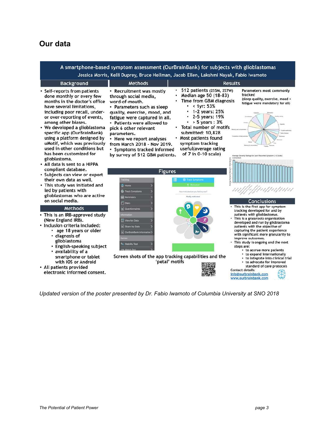## **Our data**

A smartphone-based symptom assessment (OurBrainBank) for subjects with glioblastomas Jessica Morris, Kelli Duprey, Bruce Hellman, Jacob Ellen, Lakshmi Nayak, Fabio Iwamoto **Background Methods Results** 512 patients (255M, 257W)  $\bullet$ Parameters most commonly Self-reports from patients • Recruitment was mostly Median age 50 (18-83) tracked done monthly or every few through social media, (sleep quality, exercise, mood + **Time from GBM diagnosis** months in the doctor's office word-of-mouth. fatigue were mandatory for all) < 1yr: 53% have several limitations. · Parameters such as sleep 1-2 years: 25% including poor recall, underquality, exercise, mood, and 2-5 years: 19% or over-reporting of events, fatigue were captured in all. among other biases. · Patients were allowed to > 5 years: 3% **Total number of motifs** We developed a glioblastoma pick 6 other relevant specific app (OurBrainBank) submitted: 10,828 parameters. using a platform designed by Most patients found Here we report analyses uMotif, which was previously symptom tracking from March 2018 - Nov 2019. used in other conditions but useful(average rating · Symptoms tracked informed has been customized for of 7 in 0-10 scale) by survey of 512 GBM patients. glioblastoma. • All data is sent to a HIPPA compliant database. Figures · Subjects can view or export their own data as well. • This study was initiated and led by patients with **Ee** Track Symp glioblastomas who are active on social media. **Conclusions**  $\Box$  Diary This is the first app for symptom **Methods** tracking developed for and by patients with glioblastomas. This is an IRB-approved study This is a grassroots organization (New England IRB). View My Data developed and run by glioblastoma Inclusion criteria included: Share My Data patients with the objective of • age 18 years or older capturing the patient experience with significant more granularity to · diagnosis of improve outcomes.<br>This study is ongoing and the next glioblastoma **ility Test** • English-speaking subject steps are: • to accrue more patients

- · availability of a smartphone or tablet with iOS or Android
- · All patients provided electronic informed consent.

*Updated version of the poster presented by Dr. Fabio Iwamoto of Columbia University at SNO 2018*

Screen shots of the app tracking capabilities and the

'petal' motifs

to expand internationally

to advocate for improved standard of care protocols

**Contact details:** 

info@ourbrainbank.com www.ourbrainbank.com

to integrate into clinical trial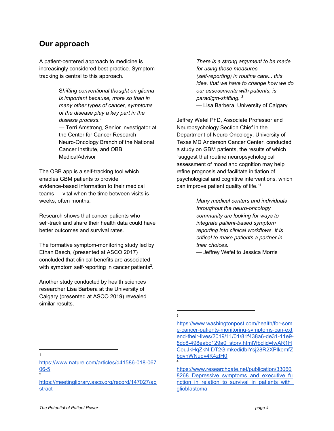### **Our approach**

A patient-centered approach to medicine is increasingly considered best practice. Symptom tracking is central to this approach.

> S*hifting conventional thought on glioma is important because, more so than in many other types of cancer, symptoms of the disease play a key part in the disease process. 1 —* Terri Amstrong, Senior Investigator at the Center for Cancer Research Neuro-Oncology Branch of the National Cancer Institute, and OBB MedicalAdvisor

The OBB app is a self-tracking tool which enables GBM patients to provide evidence-based information to their medical teams — vital when the time between visits is weeks, often months.

Research shows that cancer patients who self-track and share their health data could have better outcomes and survival rates.

The formative symptom-monitoring study led by Ethan Basch, (presented at ASCO 2017) concluded that clinical benefits are associated with symptom self-reporting in cancer patients<sup>2</sup>.

Another study conducted by health sciences researcher Lisa Barbera at the University of Calgary (presented at ASCO 2019) revealed similar results.

*There is a strong argument to be made for using these measures (self-reporting) in routine care... this idea, that we have to change how we do our assessments with patients, is paradigm-shifting. 3*

*—* Lisa Barbera, University of Calgary

Jeffrey Wefel PhD, Associate Professor and Neuropsychology Section Chief in the Department of Neuro-Oncology, University of Texas MD Anderson Cancer Center, conducted a study on GBM patients, the results of which "suggest that routine neuropsychological assessment of mood and cognition may help refine prognosis and facilitate initiation of psychological and cognitive interventions, which can improve patient quality of life." 4

> *Many medical centers and individuals throughout the neuro-oncology community are looking for ways to integrate patient-based symptom reporting into clinical workflows. It is critical to make patients a partner in their choices.*

*—* Jeffrey Wefel to Jessica Morris

3

4

#### [https://www.researchgate.net/publication/33060](https://www.researchgate.net/publication/330608268_Depressive_symptoms_and_executive_function_in_relation_to_survival_in_patients_with_glioblastoma) 8268 Depressive symptoms and executive fu nction in relation to survival in patients with [glioblastoma](https://www.researchgate.net/publication/330608268_Depressive_symptoms_and_executive_function_in_relation_to_survival_in_patients_with_glioblastoma)

1

2

- [https://www.nature.com/articles/d41586-018-067](https://www.nature.com/articles/d41586-018-06706-5) [06-5](https://www.nature.com/articles/d41586-018-06706-5)
- [https://meetinglibrary.asco.org/record/147027/ab](https://meetinglibrary.asco.org/record/147027/abstract) **[stract](https://meetinglibrary.asco.org/record/147027/abstract)**

[https://www.washingtonpost.com/health/for-som](https://www.washingtonpost.com/health/for-some-cancer-patients-monitoring-symptoms-can-extend-their-lives/2019/11/01/81f438a6-de31-11e9-8dc8-498eabc129a0_story.html?fbclid=IwAR1HCeuJkHqZkN-DT2GlmkedidbIYsj28R2XPlkemfZbgyhWNuqv4K4zfH0) [e-cancer-patients-monitoring-symptoms-can-ext](https://www.washingtonpost.com/health/for-some-cancer-patients-monitoring-symptoms-can-extend-their-lives/2019/11/01/81f438a6-de31-11e9-8dc8-498eabc129a0_story.html?fbclid=IwAR1HCeuJkHqZkN-DT2GlmkedidbIYsj28R2XPlkemfZbgyhWNuqv4K4zfH0) [end-their-lives/2019/11/01/81f438a6-de31-11e9-](https://www.washingtonpost.com/health/for-some-cancer-patients-monitoring-symptoms-can-extend-their-lives/2019/11/01/81f438a6-de31-11e9-8dc8-498eabc129a0_story.html?fbclid=IwAR1HCeuJkHqZkN-DT2GlmkedidbIYsj28R2XPlkemfZbgyhWNuqv4K4zfH0) [8dc8-498eabc129a0\\_story.html?fbclid=IwAR1H](https://www.washingtonpost.com/health/for-some-cancer-patients-monitoring-symptoms-can-extend-their-lives/2019/11/01/81f438a6-de31-11e9-8dc8-498eabc129a0_story.html?fbclid=IwAR1HCeuJkHqZkN-DT2GlmkedidbIYsj28R2XPlkemfZbgyhWNuqv4K4zfH0) [CeuJkHqZkN-DT2GlmkedidbIYsj28R2XPlkemfZ](https://www.washingtonpost.com/health/for-some-cancer-patients-monitoring-symptoms-can-extend-their-lives/2019/11/01/81f438a6-de31-11e9-8dc8-498eabc129a0_story.html?fbclid=IwAR1HCeuJkHqZkN-DT2GlmkedidbIYsj28R2XPlkemfZbgyhWNuqv4K4zfH0) [bgyhWNuqv4K4zfH0](https://www.washingtonpost.com/health/for-some-cancer-patients-monitoring-symptoms-can-extend-their-lives/2019/11/01/81f438a6-de31-11e9-8dc8-498eabc129a0_story.html?fbclid=IwAR1HCeuJkHqZkN-DT2GlmkedidbIYsj28R2XPlkemfZbgyhWNuqv4K4zfH0)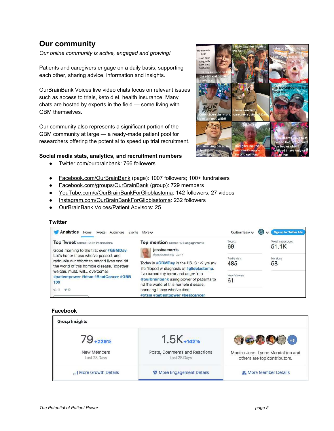## **Our community**

*Our online community is active, engaged and growing!*

Patients and caregivers engage on a daily basis, supporting each other, sharing advice, information and insights.

OurBrainBank Voices live video chats focus on relevant issues such as access to trials, keto diet, health insurance. Many chats are hosted by experts in the field — some living with GBM themselves.

Our community also represents a significant portion of the GBM community at large — a ready-made patient pool for researchers offering the potential to speed up trial recruitment.

#### **Social media stats, analytics, and recruitment numbers**

- [Twitter.com/ourbrainbank](https://twitter.com/ourbrainbank): 766 followers
- [Facebook.com/OurBrainBank](https://www.facebook.com/OurBrainBank/) (page): 1007 followers; 100+ fundraisers
- [Facebook.com/groups/OurBrainBank](https://www.facebook.com/groups/OurBrainBank/) (group): 729 members
- [YouTube.com/c/OurBrainBankForGlioblastoma:](https://www.youtube.com/c/ourbrainbankforglioblastoma) 142 followers, 27 videos
- [Instagram.com/OurBrainBankForGlioblastoma:](https://www.instagram.com/ourbrainbankforglioblastoma/) 232 followers
- **OurBrainBank Voices/Patient Advisors: 25**

#### **Twitter**

| Analytics<br>Audiences<br>Events<br>Home<br>Tweets                                                                                                                                                                  | More $\vee$                                                                                                                                                                                                                                                                                             | OurBrainBank v        | Sign up for Twitter Ads           |
|---------------------------------------------------------------------------------------------------------------------------------------------------------------------------------------------------------------------|---------------------------------------------------------------------------------------------------------------------------------------------------------------------------------------------------------------------------------------------------------------------------------------------------------|-----------------------|-----------------------------------|
| Top Tweet earned 12.3K impressions<br>Good morning to the first ever #GBMDay!                                                                                                                                       | Top mention earned 176 engagements<br>jessicamorris<br>@jessicamorris - Jul 17<br>Today is #GBMDay in the US. 3 1/2 yrs my<br>life flipped w diagnosis of #glioblastoma.<br>I've turned my terror and anger into<br>Courbrainbank using power of patients to<br>rid the world of this horrible disease. | <b>Tweets</b><br>69   | <b>Iweet impressions</b><br>51.1K |
| Let's honor those who've passed, and<br>redouble our efforts to extend lives and rid<br>the world of this horrible disease. Together<br>we can, must, will overcome!<br>#patientpower #btsm #BeatCancer #OBB<br>100 |                                                                                                                                                                                                                                                                                                         | Profile visits<br>485 | Mentions<br>58                    |
|                                                                                                                                                                                                                     |                                                                                                                                                                                                                                                                                                         | New followers<br>61   |                                   |
| <b>99 40</b><br>4% 11                                                                                                                                                                                               | honoring those who've died.<br>#btsm #patientpower #beatcancer                                                                                                                                                                                                                                          |                       |                                   |

#### **Facebook**



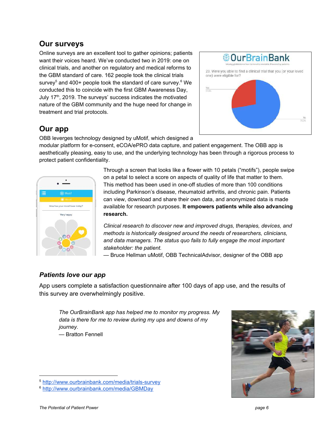## **Our surveys**

Online surveys are an excellent tool to gather opinions; patients want their voices heard. We've conducted two in 2019: one on clinical trials, and another on regulatory and medical reforms to the GBM standard of care. 162 people took the clinical trials survey<sup>5</sup> and 400+ people took the standard of care survey.<sup>6</sup> We conducted this to coincide with the first GBM Awareness Day, July 17<sup>th</sup>, 2019. The surveys' success indicates the motivated nature of the GBM community and the huge need for change in treatment and trial protocols.



## **Our app**

OBB leverges technology designed by uMotif, which designed a

modular platform for e-consent, eCOA/ePRO data capture, and patient engagement. The OBB app is aesthetically pleasing, easy to use, and the underlying technology has been through a rigorous process to protect patient confidentiality.



Through a screen that looks like a flower with 10 petals ("motifs"), people swipe on a petal to select a score on aspects of quality of life that matter to them. This method has been used in one-off studies of more than 100 conditions including Parkinson's disease, rheumatoid arthritis, and chronic pain. Patients can view, download and share their own data, and anonymized data is made available for research purposes. **It empowers patients while also advancing research.**

*Clinical research to discover new and improved drugs, therapies, devices, and methods is historically designed around the needs of researchers, clinicians, and data managers. The status quo fails to fully engage the most important stakeholder: the patient.*

*—* Bruce Hellman uMotif, OBB TechnicalAdvisor, designer of the OBB app

#### *Patients love our app*

App users complete a satisfaction questionnaire after 100 days of app use, and the results of this survey are overwhelmingly positive.

*The OurBrainBank app has helped me to monitor my progress. My data is there for me to review during my ups and downs of my journey.* — Bratton Fennell





<sup>5</sup> <http://www.ourbrainbank.com/media/trials-survey>

<sup>6</sup> <http://www.ourbrainbank.com/media/GBMDay>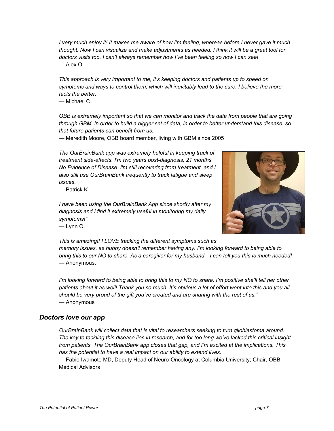I very much enjoy it! It makes me aware of how I'm feeling, whereas before I never gave it much thought. Now I can visualize and make adjustments as needed. I think it will be a great tool for *doctors visits too. I can't always remember how I've been feeling so now I can see!* — Alex O.

*This approach is very important to me, it's keeping doctors and patients up to speed on symptoms and ways to control them, which will inevitably lead to the cure. I believe the more facts the better.*

— Michael C.

*OBB is extremely important so that we can monitor and track the data from people that are going* through GBM, in order to build a bigger set of data, in order to better understand this disease, so *that future patients can benefit from us.*

— Meredith Moore, OBB board member, living with GBM since 2005

*The OurBrainBank app was extremely helpful in keeping track of treatment side-effects. I'm two years post-diagnosis, 21 months No Evidence of Disease. I'm still recovering from treatment, and I also still use OurBrainBank frequently to track fatigue and sleep issues.*

— Patrick K.

*I have been using the OurBrainBank App since shortly after my diagnosis and I find it extremely useful in monitoring my daily symptoms!"* — Lynn O.



*This is amazing!! I LOVE tracking the different symptoms such as*

*memory issues, as hubby doesn't remember having any. I'm looking forward to being able to* bring this to our NO to share. As a caregiver for my husband—I can tell you this is much needed! *—* Anonymous.

I'm looking forward to being able to bring this to my NO to share. I'm positive she'll tell her other patients about it as well! Thank you so much. It's obvious a lot of effort went into this and you all *should be very proud of the gift you've created and are sharing with the rest of us."* — Anonymous

#### *Doctors love our app*

*OurBrainBank will collect data that is vital to researchers seeking to turn glioblastoma around.* The key to tackling this disease lies in research, and for too long we've lacked this critical insight *from patients. The OurBrainBank app closes that gap, and I'm excited at the implications. This has the potential to have a real impact on our ability to extend lives.*

— Fabio Iwamoto MD, Deputy Head of Neuro-Oncology at Columbia University; Chair, OBB Medical Advisors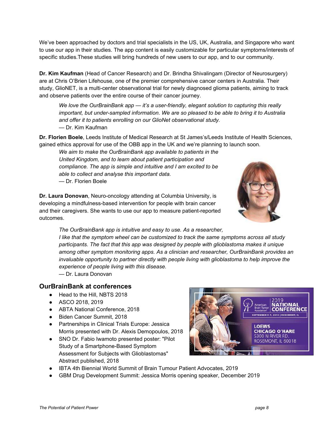We've been approached by doctors and trial specialists in the US, UK, Australia, and Singapore who want to use our app in their studies. The app content is easily customizable for particular symptoms/interests of specific studies.These studies will bring hundreds of new users to our app, and to our community.

**Dr. Kim Kaufman** (Head of Cancer Research) and Dr. Brindha Shivalingam (Director of Neurosurgery) are at Chris O'Brien Lifehouse, one of the premier comprehensive cancer centers in Australia. Their study, GlioNET, is a multi-center observational trial for newly diagnosed glioma patients, aiming to track and observe patients over the entire course of their cancer journey.

*We love the OurBrainBank app — it's a user-friendly, elegant solution to capturing this really important, but under-sampled information. We are so pleased to be able to bring it to Australia and offer it to patients enrolling on our GlioNet observational study. —* Dr. Kim Kaufman

**Dr. Florien Boele**, Leeds Institute of Medical Research at St James's/Leeds Institute of Health Sciences, gained ethics approval for use of the OBB app in the UK and we're planning to launch soon.

*We aim to make the OurBrainBank app available to patients in the United Kingdom, and to learn about patient participation and compliance. The app is simple and intuitive and I am excited to be able to collect and analyse this important data. —* Dr. Florien Boele

**Dr. Laura Donovan**, Neuro-oncology attending at Columbia University, is developing a mindfulness-based intervention for people with brain cancer and their caregivers. She wants to use our app to measure patient-reported outcomes.



*The OurBrainBank app is intuitive and easy to use. As a researcher, I like that the symptom wheel can be customized to track the same symptoms across all study participants. The fact that this app was designed by people with glioblastoma makes it unique among other symptom monitoring apps. As a clinician and researcher, OurBrainBank provides an invaluable opportunity to partner directly with people living with glioblastoma to help improve the experience of people living with this disease.*

*—* Dr. Laura Donovan

#### **OurBrainBank at conferences**

- Head to the Hill, NBTS 2018
- ASCO 2018, 2019
- ABTA National Conference, 2018
- Biden Cancer Summit, 2018
- Partnerships in Clinical Trials Europe: Jessica Morris presented with Dr. Alexis Demopoulos, 2018
- SNO Dr. Fabio Iwamoto presented poster: "Pilot Study of a Smartphone-Based Symptom Assessment for Subjects with Glioblastomas" Abstract published, 2018



- IBTA 4th Biennial World Summit of Brain Tumour Patient Advocates, 2019
- GBM Drug Development Summit: Jessica Morris opening speaker, December 2019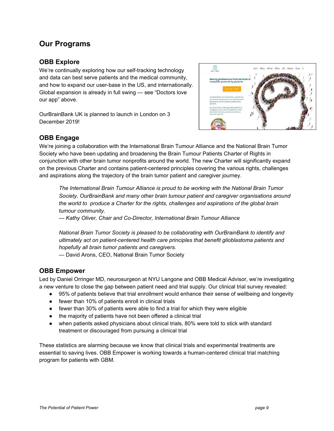## **Our Programs**

#### **OBB Explore**

We're continually exploring how our self-tracking technology and data can best serve patients and the medical community, and how to expand our user-base in the US, and internationally. Global expansion is already in full swing — see "Doctors love our app" above.

OurBrainBank UK is planned to launch in London on 3 December 2019!



#### **OBB Engage**

We're joining a collaboration with the International Brain Tumour Alliance and the National Brain Tumor Society who have been updating and broadening the Brain Tumour Patients Charter of Rights in conjunction with other brain tumor nonprofits around the world. The new Charter will significantly expand on the previous Charter and contains patient-centered principles covering the various rights, challenges and aspirations along the trajectory of the brain tumor patient and caregiver journey.

*The International Brain Tumour Alliance is proud to be working with the National Brain Tumor Society, OurBrainBank and many other brain tumour patient and caregiver organisations around the world to produce a Charter for the rights, challenges and aspirations of the global brain tumour community.*

*— Kathy Oliver, Chair and Co-Director, International Brain Tumour Alliance*

*National Brain Tumor Society is pleased to be collaborating with OurBrainBank to identify and ultimately act on patient-centered health care principles that benefit glioblastoma patients and hopefully all brain tumor patients and caregivers.*

— David Arons, CEO, National Brain Tumor Society

#### **OBB Empower**

Led by Daniel Orringer MD, neurosurgeon at NYU Langone and OBB Medical Advisor, we're investigating a new venture to close the gap between patient need and trial supply. Our clinical trial survey revealed:

- 95% of patients believe that trial enrollment would enhance their sense of wellbeing and longevity
- fewer than 10% of patients enroll in clinical trials
- fewer than 30% of patients were able to find a trial for which they were eligible
- the majority of patients have not been offered a clinical trial
- when patients asked physicians about clinical trials, 80% were told to stick with standard treatment or discouraged from pursuing a clinical trial

These statistics are alarming because we know that clinical trials and experimental treatments are essential to saving lives. OBB Empower is working towards a human-centered clinical trial matching program for patients with GBM.